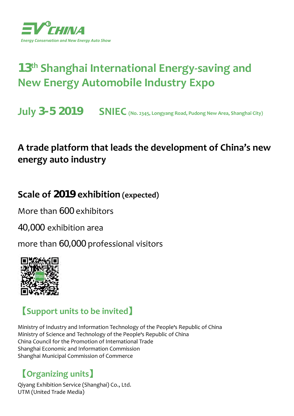

# **13th Shanghai International Energy-saving and New Energy Automobile Industry Expo**

**July 3-5 2019 SNIEC (No. 2345, Longyang Road, Pudong New Area, Shanghai City)**

## **A trade platform that leads the development of China's new energy auto industry**

## **Scale of 2019 exhibition (expected)**

More than 600 exhibitors

40,000 exhibition area

more than 60,000 professional visitors



## **【Support units to be invited】**

Ministry of Industry and Information Technology of the People**'**s Republic of China Ministry of Science and Technology of the People**'**s Republic of China China Council for the Promotion of International Trade Shanghai Economic and Information Commission Shanghai Municipal Commission of Commerce

## **【Organizing units】**

Qiyang Exhibition Service (Shanghai) Co., Ltd. UTM (United Trade Media)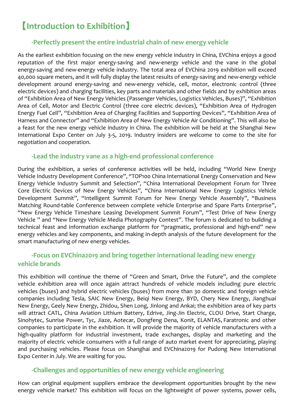## **【Introduction to Exhibition】**

### **-Perfectly present the entire industrial chain of new energy vehicle**

As the earliest exhibition focusing on the new energy vehicle industry in China, EVChina enjoys a good reputation of the first major energy-saving and new-energy vehicle and the vane in the global energy-saving and new-energy vehicle industry. The total area of EVChina 2019 exhibition will exceed 40,000 square meters, and it will fully display the latest results of energy-saving and new-energy vehicle development around energy-saving and new-energy vehicle, cell, motor, electronic control (three electric devices) and charging facilities, key parts and materials and other fields and by exhibition areas of "Exhibition Area of New Energy Vehicles (Passenger Vehicles, Logistics Vehicles, Buses)", "Exhibition Area of Cell, Motor and Electric Control (three core electric devices), "Exhibition Area of Hydrogen Energy Fuel Cell", "Exhibition Area of Charging Facilities and Supporting Devices", "Exhibition Area of Harness and Connector" and "Exhibition Area of New Energy Vehicle Air Conditioning". This will also be a feast for the new energy vehicle industry in China. The exhibition will be held at the Shanghai New International Expo Center on July 3-5, 2019. Industry insiders are welcome to come to the site for negotiation and cooperation.

#### **-Lead the industry vane as a high-end professional conference**

During the exhibition, a series of conference activities will be held, including "World New Energy Vehicle Industry Development Conference", "TOP100 China International Energy Conservation and New Energy Vehicle Industry Summit and Selection", "China International Development Forum for Three Core Electric Devices of New Energy Vehicles", "China International New Energy Logistics Vehicle Development Summit", "Intelligent Summit Forum for New Energy Vehicle Assembly", "Business Matching Round-table Conference between complete vehicle Enterprise and Spare Parts Enterprise", "New Energy Vehicle Timeshare Leasing Development Summit Forum", "Test Drive of New Energy Vehicle " and "New Energy Vehicle Media Photography Contest". The forum is dedicated to building a technical feast and information exchange platform for "pragmatic, professional and high-end" new energy vehicles and key components, and making in-depth analysis of the future development for the smart manufacturing of new energy vehicles.

### **-Focus on EVChina2019 and bring together international leading new energy vehicle brands**

This exhibition will continue the theme of "Green and Smart, Drive the Future", and the complete vehicle exhibition area will once again attract hundreds of vehicle models including pure electric vehicles (buses) and hybrid electric vehicles (buses) from more than 30 domestic and foreign vehicle companies including Tesla, SAIC New Energy, Beiqi New Energy, BYD, Chery New Energy, Jianghuai New Energy, Geely New Energy, Zhidou, Shen Long, Jinlong and Ankai; the exhibition area of key parts will attract CATL, China Aviation Lithium Battery, Edrive, Jing-Jin Electric, CLOU Drive, Start Charge, Sinohytec, Sunrise Power, Tyc, Jiaze, Aotecar, Dongfeng Dena, Konit, ELANTAS, Faratronic and other companies to participate in the exhibition. It will provide the majority of vehicle manufacturers with a high-quality platform for industrial investment, trade exchanges, display and marketing and the majority of electric vehicle consumers with a full range of auto market event for appreciating, playing and purchasing vehicles. Please focus on Shanghai and EVChina2019 for Pudong New International Expo Center in July. We are waiting for you.

### **-Challenges and opportunities of new energy vehicle engineering**

How can original equipment suppliers embrace the development opportunities brought by the new energy vehicle market? This exhibition will focus on the lightweight of power systems, power cells,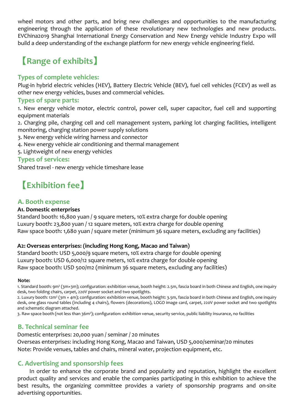wheel motors and other parts, and bring new challenges and opportunities to the manufacturing engineering through the application of these revolutionary new technologies and new products. EVChina2019 Shanghai International Energy Conservation and New Energy vehicle Industry Expo will build a deep understanding of the exchange platform for new energy vehicle engineering field.

## **【Range of exhibits】**

### **Types of complete vehicles:**

Plug-in hybrid electric vehicles (HEV), Battery Electric Vehicle (BEV), fuel cell vehicles (FCEV) as well as other new energy vehicles, buses and commercial vehicles.

#### **Types of spare parts:**

1. New energy vehicle motor, electric control, power cell, super capacitor, fuel cell and supporting equipment materials

2. Charging pile, charging cell and cell management system, parking lot charging facilities, intelligent monitoring, charging station power supply solutions

- 3. New energy vehicle wiring harness and connector
- 4. New energy vehicle air conditioning and thermal management
- 5. Lightweight of new energy vehicles

### **Types of services:**

Shared travel - new energy vehicle timeshare lease

## **【Exhibition fee】**

### **A. Booth expense**

#### **A1. Domestic enterprises**

Standard booth: 16,800 yuan / 9 square meters, 10% extra charge for double opening Luxury booth: 23,800 yuan / 12 square meters, 10% extra charge for double opening Raw space booth: 1,680 yuan / square meter (minimum 36 square meters, excluding any facilities)

### **A2: Overseas enterprises: (including Hong Kong, Macao and Taiwan)**

Standard booth: USD 5,000/9 square meters, 10% extra charge for double opening Luxury booth: USD 6,000/12 square meters, 10% extra charge for double opening Raw space booth: USD 500/m2 (minimum 36 square meters, excluding any facilities)

#### **Note:**

1. Standard booth: 9m2 (3m×3m); configuration: exhibition venue, booth height: 2.5m, fascia board in both Chinese and English, one inquiry desk, two folding chairs, carpet, 220V power socket and two spotlights.

2. Luxury booth: 12m<sup>2</sup> (3m × 4m); configuration: exhibition venue, booth height: 3.5m, fascia board in both Chinese and English, one inquiry desk, one glass round tables (including 4 chairs), flowers (decorations), LOGO image card, carpet, 220V power socket and two spotlights and schematic diagram attached.

3. Raw space booth (not less than 36m2); configuration: exhibition venue, security service, public liability insurance, no facilities

### **B. Technical seminar fee**

Domestic enterprises: 20,000 yuan / seminar / 20 minutes Overseas enterprises: including Hong Kong, Macao and Taiwan, USD 5,000/seminar/20 minutes Note: Provide venues, tables and chairs, mineral water, projection equipment, etc.

### **C. Advertising and sponsorship fees**

In order to enhance the corporate brand and popularity and reputation, highlight the excellent product quality and services and enable the companies participating in this exhibition to achieve the best results, the organizing committee provides a variety of sponsorship programs and on-site advertising opportunities.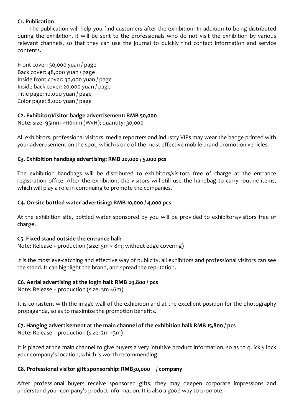#### **C1. Publication**

The publication will help you find customers after the exhibition! In addition to being distributed during the exhibition, it will be sent to the professionals who do not visit the exhibition by various relevant channels, so that they can use the journal to quickly find contact information and service contents.

Front cover: 50,000 yuan / page Back cover: 48,000 yuan / page Inside front cover: 30,000 yuan / page Inside back cover: 20,000 yuan / page Title page: 10,000 yuan / page Color page: 8,000 yuan / page

#### **C2. Exhibitor/Visitor badge advertisement: RMB 50,000**

Note: size: 95mm ×110mm (W×H); quantity: 30,000

All exhibitors, professional visitors, media reporters and industry VIPs may wear the badge printed with your advertisement on the spot, which is one of the most effective mobile brand promotion vehicles.

#### **C3. Exhibition handbag advertising: RMB 20,000 / 5,000 pcs**

The exhibition handbags will be distributed to exhibitors/visitors free of charge at the entrance registration office. After the exhibition, the visitors will still use the handbag to carry routine items, which will play a role in continuing to promote the companies.

#### **C4. On-site bottled water advertising: RMB 10,000 / 4,000 pcs**

At the exhibition site, bottled water sponsored by you will be provided to exhibitors/visitors free of charge.

#### **C5. Fixed stand outside the entrance hall:**

Note: Release + production (size: 5m × 8m, without edge covering)

It is the most eye-catching and effective way of publicity, all exhibitors and professional visitors can see the stand. It can highlight the brand, and spread the reputation.

#### **C6. Aerial advertising at the login hall: RMB 29,800 / pcs**

Note: Release + production (size: 3m ×6m)

It is consistent with the image wall of the exhibition and at the excellent position for the photography propaganda, so as to maximize the promotion benefits.

#### **C7. Hanging advertisement at the main channel of the exhibition hall: RMB 15,800 / pcs**

Note: Release + production (size: 2m ×3m)

It is placed at the main channel to give buyers a very intuitive product information, so as to quickly lock your company's location, which is worth recommending.

#### **C8. Professional visitor gift sponsorship: RMB30,000 / company**

After professional buyers receive sponsored gifts, they may deepen corporate impressions and understand your company's product information. It is also a good way to promote.